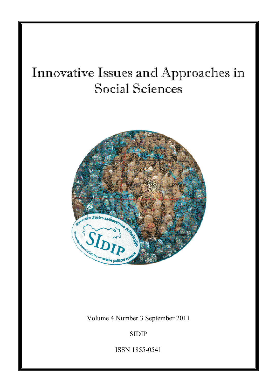# Innovative Issues and Approaches in Social Sciences



Volume 4 Number 3 September 2011

SIDIP

ISSN 1855-0541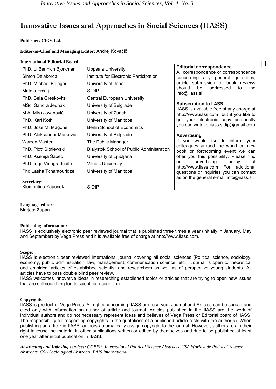## Innovative Issues and Approaches in Social Sciences (IIASS)

**Publisher:** CEOs Ltd.

#### **Editor-in-Chief and Managing Editor:** Andrej Kovačič

#### **International Editorial Board:**

| PhD. Li Bennich Bjorkman | Uppsala University                        | Edi<br>All          |
|--------------------------|-------------------------------------------|---------------------|
| Simon Delakorda          | Institute for Electronic Participation    | con                 |
| PhD. Michael Edinger     | University of Jena                        | arti                |
| Mateja Erčulj            | <b>SIDIP</b>                              | sho<br>info         |
| PhD. Bela Greskovits     | Central European University               |                     |
| MSc. Sandra Jednak       | University of Belgrade                    | Sul                 |
| M.A. Mira Jovanović      | University of Zurich                      | <b>IIAS</b><br>http |
| PhD. Karl Koth           | University of Manitoba                    | get                 |
| PhD. Jose M. Magone      | <b>Berlin School of Economics</b>         | you                 |
| PhD. Aleksandar Marković | University of Belgrade                    | Ad <sup>®</sup>     |
| Warren Master            | The Public Manager                        | lf                  |
| PhD. Piotr Sitniewski    | Bialystok School of Public Administration | coll<br>boc         |
| PhD. Ksenija Šabec       | University of Ljubljana                   | offe                |
| PhD. Inga Vinogradnaite  | Vilnius University                        | our<br>http         |
| Phd Lasha Tchantouridze  | University of Manitoba                    | que                 |
|                          |                                           | as                  |

**Secretary:**  Klementina Zapušek SIDIP

## **Editorial correspondence**

correspondence or correspondence cerning any general questions, cle submission or book reviews uld be addressed to the @iiass.si.

#### **Subscription to IIASS**

SS is available free of any charge at o://www.iiass.com but if you like to your electronic copy personally can write to iiass.sidip@gmail.com

#### **Advertising**

you would like to inform your leagues around the world on new bk or forthcoming event we can er you this possibility. Please find advertising policy at o://www.iiass.com For additional estions or inquiries you can contact on the general e-mail info@iiass.si.

**Language editor:**  Marjeta Zupan

#### **Publishing information:**

IIASS is exclusively electronic peer reviewed journal that is published three times a year (initially in January, May and September) by Vega Press and it is available free of charge at http://www.iiass.com.

#### **Scope:**

IIASS is electronic peer reviewed international journal covering all social sciences (Political science, sociology, economy, public administration, law, management, communication science, etc.). Journal is open to theoretical and empirical articles of established scientist and researchers as well as of perspective young students. All articles have to pass double blind peer review.

IIASS welcomes innovative ideas in researching established topics or articles that are trying to open new issues that are still searching for its scientific recognition.

#### **Copyrights**

IIASS is product of Vega Press. All rights concerning IIASS are reserved. Journal and Articles can be spread and cited only with information on author of article and journal. Articles published in the IIASS are the work of individual authors and do not necessary represent ideas and believes of Vega Press or Editorial board of IIASS. The responsibility for respecting copyrights in the quotations of a published article rests with the author(s). When publishing an article in IIASS, authors automatically assign copyright to the journal. However, authors retain their right to reuse the material in other publications written or edited by themselves and due to be published at least one year after initial publication in IIASS.

*Abstracting and Indexing services: COBISS, International Political Science Abstracts, CSA Worldwide Political Science Abstracts, CSA Sociological Abstracts, PAIS International.*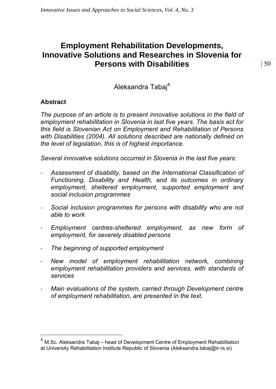## **Employment Rehabilitation Developments, Innovative Solutions and Researches in Slovenia for Persons with Disabilities**

Aleksandra Tabaj<sup>4</sup>

## **Abstract**

 $\overline{a}$ 

*The purpose of an article is to present innovative solutions in the field of employment rehabilitation in Slovenia in last five years. The basis act for this field is Slovenian Act on Employment and Rehabilitation of Persons with Disabilities (2004). All solutions described are nationally defined on the level of legislation, this is of highest importance.* 

*Several innovative solutions occurred in Slovenia in the last five years:* 

- ‐ *Assessment of disability, based on the International Classification of Functioning, Disability and Health, and its outcomes in ordinary employment, sheltered employment, supported employment and social inclusion programmes*
- ‐ *Social inclusion programmes for persons with disability who are not able to work*
- ‐ *Employment centres-sheltered employment, as new form of employment, for severely disabled persons*
- ‐ *The beginning of supported employment*
- ‐ *New model of employment rehabilitation network, combining employment rehabilitation providers and services, with standards of services*
- ‐ *Main evaluations of the system, carried through Development centre of employment rehabilitation, are presented in the text.*

M.Sc. Aleksandra Tabaj – head of Development Centre of Employment Rehabilitation at University Rehabilitation Institute Republic of Slovenia [\(Aleksandra.tabaj@ir-rs.si](mailto:Aleksandra.tabaj@ir-rs.si))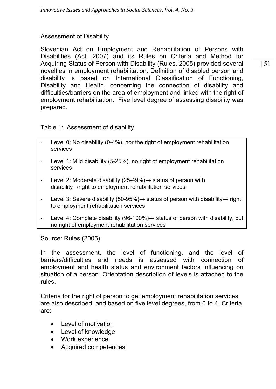## Assessment of Disability

Slovenian Act on Employment and Rehabilitation of Persons with Disabilities (Act, 2007) and its Rules on Criteria and Method for Acquiring Status of Person with Disability (Rules, 2005) provided several novelties in employment rehabilitation. Definition of disabled person and disability is based on International Classification of Functioning, Disability and Health, concerning the connection of disability and difficulties/barriers on the area of employment and linked with the right of employment rehabilitation. Five level degree of assessing disability was prepared.

Table 1: Assessment of disability

- Level 0: No disability (0-4%), nor the right of employment rehabilitation services
- Level 1: Mild disability (5-25%), no right of employment rehabilitation services
- Level 2: Moderate disability (25-49%) $\rightarrow$  status of person with disability→right to employment rehabilitation services
- ‐ Level 3: Severe disability (50-95%)→ status of person with disability→ right to employment rehabilitation services
- Level 4: Complete disability (96-100%) $\rightarrow$  status of person with disability, but no right of employment rehabilitation services

Source: Rules (2005)

In the assessment, the level of functioning, and the level of barriers/difficulties and needs is assessed with connection of employment and health status and environment factors influencing on situation of a person. Orientation description of levels is attached to the rules.

Criteria for the right of person to get employment rehabilitation services are also described, and based on five level degrees, from 0 to 4. Criteria are:

- Level of motivation
- Level of knowledge
- Work experience
- Acquired competences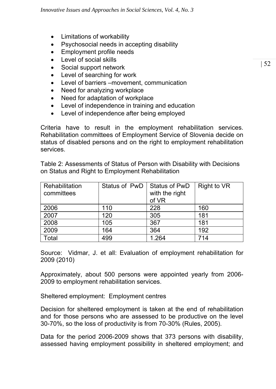- Limitations of workability
- Psychosocial needs in accepting disability
- Employment profile needs
- Level of social skills
- Social support network
- Level of searching for work
- Level of barriers –movement, communication
- Need for analyzing workplace
- Need for adaptation of workplace
- Level of independence in training and education
- Level of independence after being employed

Criteria have to result in the employment rehabilitation services. Rehabilitation committees of Employment Service of Slovenia decide on status of disabled persons and on the right to employment rehabilitation services.

Table 2: Assessments of Status of Person with Disability with Decisions on Status and Right to Employment Rehabilitation

| Rehabilitation<br>committees | Status of PwD   Status of PwD | with the right<br>of VR | Right to VR |
|------------------------------|-------------------------------|-------------------------|-------------|
| 2006                         | 110                           | 228                     | 160         |
| 2007                         | 120                           | 305                     | 181         |
| 2008                         | 105                           | 367                     | 181         |
| 2009                         | 164                           | 364                     | 192         |
| Total                        | 499                           | 1.264                   | 714         |

Source: Vidmar, J. et all: Evaluation of employment rehabilitation for 2009 (2010)

Approximately, about 500 persons were appointed yearly from 2006- 2009 to employment rehabilitation services.

Sheltered employment: Employment centres

Decision for sheltered employment is taken at the end of rehabilitation and for those persons who are assessed to be productive on the level 30-70%, so the loss of productivity is from 70-30% (Rules, 2005).

Data for the period 2006-2009 shows that 373 persons with disability, assessed having employment possibility in sheltered employment; and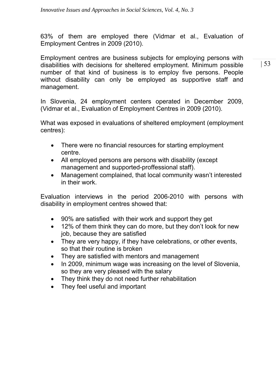63% of them are employed there (Vidmar et al., Evaluation of Employment Centres in 2009 (2010).

Employment centres are business subjects for employing persons with disabilities with decisions for sheltered employment. Minimum possible number of that kind of business is to employ five persons. People without disability can only be employed as supportive staff and management.

In Slovenia, 24 employment centers operated in December 2009, (Vidmar et al., Evaluation of Employment Centres in 2009 (2010).

What was exposed in evaluations of sheltered employment (employment centres):

- There were no financial resources for starting employment centre.
- All employed persons are persons with disability (except management and supported-proffessional staff).
- Management complained, that local community wasn't interested in their work.

Evaluation interviews in the period 2006-2010 with persons with disability in employment centres showed that:

- 90% are satisfied with their work and support they get
- 12% of them think they can do more, but they don't look for new job, because they are satisfied
- They are very happy, if they have celebrations, or other events, so that their routine is broken
- They are satisfied with mentors and management
- In 2009, minimum wage was increasing on the level of Slovenia, so they are very pleased with the salary
- They think they do not need further rehabilitation
- They feel useful and important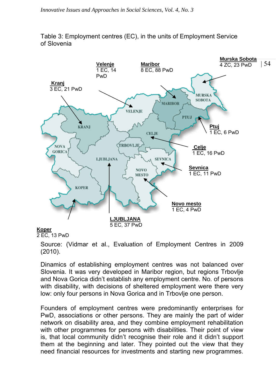

Table 3: Employment centres (EC), in the units of Employment Service of Slovenia

#### **Koper**  2 EC, 13 PwD

Source: (Vidmar et al., Evaluation of Employment Centres in 2009 (2010).

Dinamics of establishing employment centres was not balanced over Slovenia. It was very developed in Maribor region, but regions Trbovlje and Nova Gorica didn't establish any employment centre. No. of persons with disability, with decisions of sheltered employment were there very low: only four persons in Nova Gorica and in Trbovlje one person.

Founders of employment centres were predominantly enterprises for PwD, associations or other persons. They are mainly the part of wider network on disability area, and they combine employment rehabilitation with other programmes for persons with disabilities. Their point of view is, that local community didn't recognise their role and it didn't support them at the beginning and later. They pointed out the view that they need financial resources for investments and starting new programmes.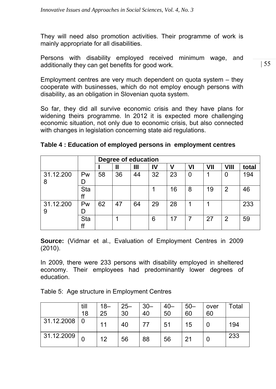They will need also promotion activities. Their programme of work is mainly appropriate for all disabilities.

Persons with disability employed received minimum wage, and additionally they can get benefits for good work.

Employment centres are very much dependent on quota system – they cooperate with businesses, which do not employ enough persons with disability, as an obligation in Slovenian quota system.

So far, they did all survive economic crisis and they have plans for widening theirs programme. In 2012 it is expected more challenging economic situation, not only due to economic crisis, but also connected with changes in legislation concerning state aid regulations.

| Table 4 : Education of employed persons in employment centres |  |  |
|---------------------------------------------------------------|--|--|
|---------------------------------------------------------------|--|--|

|                |           |    | Degree of education |    |    |    |    |     |                |       |
|----------------|-----------|----|---------------------|----|----|----|----|-----|----------------|-------|
|                |           |    |                     | Ш  | IV |    | VI | VII | VIII           | total |
| 31.12.200<br>8 | Pw        | 58 | 36                  | 44 | 32 | 23 | 0  |     |                | 194   |
|                | Sta<br>ff |    |                     |    |    | 16 | 8  | 19  | $\overline{2}$ | 46    |
| 31.12.200<br>9 | Pw        | 62 | 47                  | 64 | 29 | 28 |    |     |                | 233   |
|                | Sta<br>ff |    |                     |    | 6  | 17 |    | 27  | 2              | 59    |

**Source:** (Vidmar et al., Evaluation of Employment Centres in 2009 (2010).

In 2009, there were 233 persons with disability employed in sheltered economy. Their employees had predominantly lower degrees of education.

Table 5: Age structure in Employment Centres

|            | till<br>18 | $18 -$<br>25 | $25 -$<br>30 | $30 -$<br>40 | 40–<br>50 | $50 -$<br>60 | over<br>60 | Total |
|------------|------------|--------------|--------------|--------------|-----------|--------------|------------|-------|
| 31.12.2008 | 0          | 11           | 40           | 77           | 51        | 15           |            | 194   |
| 31.12.2009 |            | 12           | 56           | 88           | 56        | 21           | 0          | 233   |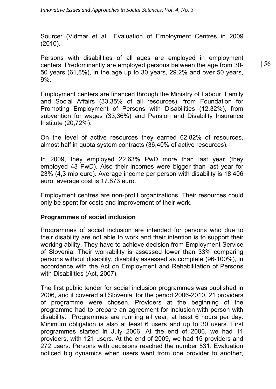Source: (Vidmar et al., Evaluation of Employment Centres in 2009 (2010).

Persons with disabilities of all ages are employed in employment centers. Predominantly are employed persons between the age from 30- 50 years (61,8%), in the age up to 30 years, 29.2% and over 50 years, 9%.

Employment centers are financed through the Ministry of Labour, Family and Social Affairs (33,35% of all resources), from Foundation for Promoting Employment of Persons with Disabilities (12,32%), from subvention for wages (33,36%) and Pension and Disability Insurance Institute (20,72%).

On the level of active resources they earned 62,82% of resources, almost half in quota system contracts (36,40% of active resources).

In 2009, they employed 22,63% PwD more than last year (they employed 43 PwD). Also their incomes were bigger than last year for 23% (4,3 mio euro). Average income per person with disability is 18.406 euro, average cost is 17.873 euro.

Employment centres are non-profit organizations. Their resources could only be spent for costs and improvement of their work.

### **Programmes of social inclusion**

Programmes of social inclusion are intended for persons who due to their disability are not able to work and their intention is to support their working ability. They have to achieve decision from Employment Service of Slovenia. Their workability is assessed lower than 33% comparing persons without disability, disability assessed as complete (96-100%), in accordance with the Act on Employment and Rehabilitation of Persons with Disabilities (Act, 2007).

The first public tender for social inclusion programmes was published in 2006, and it covered all Slovenia, for the period 2006-2010. 21 providers of programme were chosen. Providers at the beginning of the programme had to prepare an agreement for inclusion with person with disability. Programmes are running all year, at least 6 hours per day. Minimum obligation is also at least 6 users and up to 30 users. First programmes started in July 2006. At the end of 2006, we had 11 providers, with 121 users. At the end of 2009, we had 15 providers and 272 users. Persons with decisions reached the number 531. Evaluation noticed big dynamics when users went from one provider to another,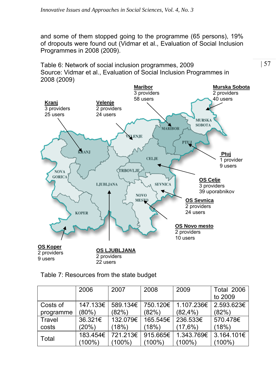and some of them stopped going to the programme (65 persons), 19% of dropouts were found out (Vidmar et al., Evaluation of Social Inclusion Programmes in 2008 (2009).

Table 6: Network of social inclusion programmes, 2009  $\vert 57 \rangle$ Source: Vidmar et al., Evaluation of Social Inclusion Programmes in 2008 (2009)



|           | 2006     | 2007      | 2008      | 2009        | <b>Total 2006</b> |
|-----------|----------|-----------|-----------|-------------|-------------------|
|           |          |           |           |             | to 2009           |
| Costs of  | 147.133€ | 589.134€  | 750.120€  | 1.107.236€  | 2.593.623€        |
| programme | (80%)    | (82%)     | (82%)     | $(82, 4\%)$ | (82%)             |
| Travel    | 36.321€  | 132.079€  | 165.545€  | 236.533€    | 570.478€          |
| costs     | (20%)    | (18%)     | (18%)     | (17,6%)     | (18%)             |
| Total     | 183.454€ | 721.213€  | 915.665€  | 1.343.769€  | 3.164.101€        |
|           | (100%)   | $(100\%)$ | $(100\%)$ | $(100\%)$   | (100%)            |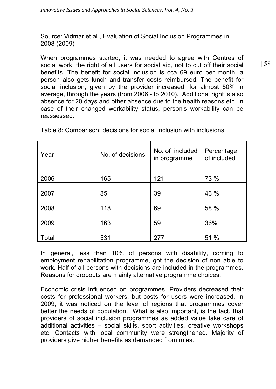Source: Vidmar et al., Evaluation of Social Inclusion Programmes in 2008 (2009)

When programmes started, it was needed to agree with Centres of social work, the right of all users for social aid, not to cut off their social benefits. The benefit for social inclusion is cca 69 euro per month, a person also gets lunch and transfer costs reimbursed. The benefit for social inclusion, given by the provider increased, for almost 50% in average, through the years (from 2006 - to 2010). Additional right is also absence for 20 days and other absence due to the health reasons etc. In case of their changed workability status, person's workability can be reassessed.

| Year  | No. of decisions | No. of included<br>in programme | Percentage<br>of included |
|-------|------------------|---------------------------------|---------------------------|
| 2006  | 165              | 121                             | 73 %                      |
| 2007  | 85               | 39                              | 46 %                      |
| 2008  | 118              | 69                              | 58 %                      |
| 2009  | 163              | 59                              | 36%                       |
| Total | 531              | 277                             | 51 %                      |

Table 8: Comparison: decisions for social inclusion with inclusions

In general, less than 10% of persons with disability, coming to employment rehabilitation programme, got the decision of non able to work. Half of all persons with decisions are included in the programmes. Reasons for dropouts are mainly alternative programme choices.

Economic crisis influenced on programmes. Providers decreased their costs for professional workers, but costs for users were increased. In 2009, it was noticed on the level of regions that programmes cover better the needs of population. What is also important, is the fact, that providers of social inclusion programmes as added value take care of additional activities – social skills, sport activities, creative workshops etc. Contacts with local community were strengthened. Majority of providers give higher benefits as demanded from rules.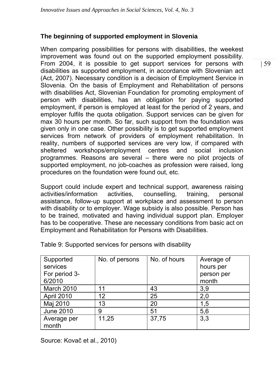## **The beginning of supported employment in Slovenia**

When comparing possibilities for persons with disabilities, the weekest improvement was found out on the supported employment possibility. From 2004, it is possible to get support services for persons with disabilities as supported employment, in accordance with Slovenian act (Act, 2007). Necessary condition is a decision of Employment Service in Slovenia. On the basis of Employment and Rehabilitation of persons with disabilities Act, Slovenian Foundation for promoting employment of person with disabilities, has an obligation for paying supported employment, if person is employed at least for the period of 2 years, and employer fulfils the quota obligation. Support services can be given for max 30 hours per month. So far, such support from the foundation was given only in one case. Other possibility is to get supported employment services from network of providers of employment rehabilitation. In reality, numbers of supported services are very low, if compared with sheltered workshops/employment centres and social inclusion programmes. Reasons are several – there were no pilot projects of supported employment, no job-coaches as profession were raised, long procedures on the foundation were found out, etc.

Support could include expert and technical support, awareness raising activities/information activities, counselling, training, personal assistance, follow-up support at workplace and assessment to person with disability or to employer. Wage subsidy is also possible. Person has to be trained, motivated and having individual support plan. Employer has to be cooperative. These are necessary conditions from basic act on Employment and Rehabilitation for Persons with Disabilities.

| Supported<br>services<br>For period 3-<br>6/2010 | No. of persons | No. of hours | Average of<br>hours per<br>person per<br>month |
|--------------------------------------------------|----------------|--------------|------------------------------------------------|
| March 2010                                       | 11             | 43           | 3,9                                            |
| April 2010                                       | 12             | 25           | 2,0                                            |
| Maj 2010                                         | 13             | 20           | 1,5                                            |
| <b>June 2010</b>                                 | 9              | 51           | 5,6                                            |
| Average per<br>month                             | 11,25          | 37,75        | 3,3                                            |

Table 9: Supported services for persons with disability

Source: Kovač et al., 2010)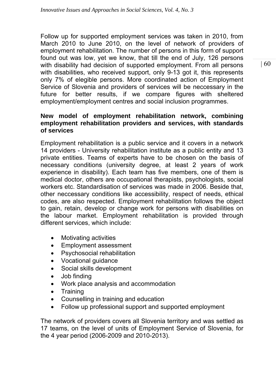Follow up for supported employment services was taken in 2010, from March 2010 to June 2010, on the level of network of providers of employment rehabilitation. The number of persons in this form of support found out was low, yet we know, that till the end of July, 126 persons with disability had decision of supported employment. From all persons with disabilities, who received support, only 9-13 got it, this represents only 7% of elegible persons. More coordinated action of Employment Service of Slovenia and providers of services will be neccessary in the future for better results, if we compare figures with sheltered employment/employment centres and social inclusion programmes.

### **New model of employment rehabilitation network, combining employment rehabilitation providers and services, with standards of services**

Employment rehabilitation is a public service and it covers in a network 14 providers - University rehabilitation institute as a public entity and 13 private entities. Teams of experts have to be chosen on the basis of necessary conditions (university degree, at least 2 years of work experience in disability). Each team has five members, one of them is medical doctor, others are occupational therapists, psychologists, social workers etc. Standardisation of services was made in 2006. Beside that, other neccessary conditions like accessibility, respect of needs, ethical codes, are also respected. Employment rehabilitation follows the object to gain, retain, develop or change work for persons with disabilities on the labour market. Employment rehabilitation is provided through different services, which include:

- Motivating activities
- Employment assessment
- Psychosocial rehabilitation
- Vocational guidance
- Social skills development
- Job finding
- Work place analysis and accommodation
- Training
- Counselling in training and education
- Follow up professional support and supported employment

The network of providers covers all Slovenia territory and was settled as 17 teams, on the level of units of Employment Service of Slovenia, for the 4 year period (2006-2009 and 2010-2013).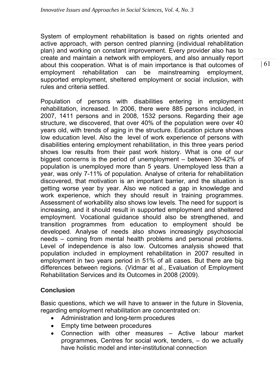System of employment rehabilitation is based on rights oriented and active approach, with person centred planning (individual rehabilitation plan) and working on constant improvement. Every provider also has to create and maintain a network with employers, and also annually report about this cooperation. What is of main importance is that outcomes of employment rehabilitation can be mainstreaming employment, supported employment, sheltered employment or social inclusion, with rules and criteria settled.

Population of persons with disabilities entering in employment rehabilitation, increased. In 2006, there were 885 persons included, in 2007, 1411 persons and in 2008, 1532 persons. Regarding their age structure, we discovered, that over 40% of the population were over 40 years old, with trends of aging in the structure. Education picture shows low education level. Also the level of work experience of persons with disabilities entering employment rehabilitation, in this three years period shows low results from their past work history. What is one of our biggest concerns is the period of unemployment – between 30-42% of population is unemployed more than 5 years. Unemployed less than a year, was only 7-11% of population. Analyse of criteria for rehabilitation discovered, that motivation is an important barrier, and the situation is getting worse year by year. Also we noticed a gap in knowledge and work experience, which they should result in training programmes. Assessment of workability also shows low levels. The need for support is increasing, and it should result in supported employment and sheltered employment. Vocational guidance should also be strengthened, and transition programmes from education to employment should be developed. Analyse of needs also shows increasingly psychosocial needs – coming from mental health problems and personal problems. Level of independence is also low. Outcomes analysis showed that population included in employment rehabilitation in 2007 resulted in employment in two years period in 51% of all cases. But there are big differences between regions. (Vidmar et al., Evaluation of Employment Rehabilitation Services and its Outcomes in 2008 (2009).

## **Conclusion**

Basic questions, which we will have to answer in the future in Slovenia, regarding employment rehabilitation are concentrated on:

- Administration and long-term procedures
- Empty time between procedures
- Connection with other measures Active labour market programmes, Centres for social work, tenders, – do we actually have holistic model and inter-institutional connection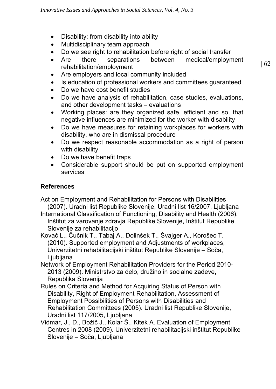- Disability: from disability into ability
- Multidisciplinary team approach
- Do we see right to rehabilitation before right of social transfer
- Are there separations between medical/employment rehabilitation/employment
- Are employers and local community included
- Is education of professional workers and committees guaranteed
- Do we have cost benefit studies
- Do we have analysis of rehabilitation, case studies, evaluations, and other development tasks – evaluations
- Working places: are they organized safe, efficient and so, that negative influences are minimized for the worker with disability
- Do we have measures for retaining workplaces for workers with disability, who are in dismissal procedure
- Do we respect reasonable accommodation as a right of person with disability
- Do we have benefit traps
- Considerable support should be put on supported employment services

## **References**

Act on Employment and Rehabilitation for Persons with Disabilities (2007). Uradni list Republike Slovenije, Uradni list 16/2007, Ljubljana

International Classification of Functioning, Disability and Health (2006). Inštitut za varovanje zdravja Republike Slovenije, Inštitut Republike Slovenije za rehabilitacijo

Kovač L., Čučnik T., Tabaj A., Dolinšek T., Švajger A., Korošec T. (2010). Supported employment and Adjustments of workplaces, Univerzitetni rehabilitacijski inštitut Republike Slovenije – Soča, Ljubljana

Network of Employment Rehabilitation Providers for the Period 2010- 2013 (2009). Ministrstvo za delo, družino in socialne zadeve, Republika Slovenija

- Rules on Criteria and Method for Acquiring Status of Person with Disability, Right of Employment Rehabilitation, Assessment of Employment Possibilities of Persons with Disabilities and Rehabilitation Committees (2005). Uradni list Republike Slovenije, Uradni list 117/2005, Ljubljana
- Vidmar, J., D., Božič J., Kolar Š., Kitek A. Evaluation of Employment Centres in 2008 (2009). Univerzitetni rehabilitacijski inštitut Republike Slovenije – Soča, Ljubljana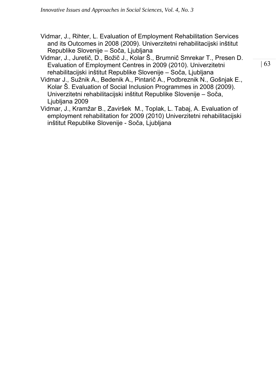- Vidmar, J., Rihter, L. Evaluation of Employment Rehabilitation Services and its Outcomes in 2008 (2009). Univerzitetni rehabilitacijski inštitut Republike Slovenije – Soča, Ljubljana
- Vidmar, J., Juretič, D., Božič J., Kolar Š., Brumnič Smrekar T., Presen D. Evaluation of Employment Centres in 2009 (2010). Univerzitetni rehabilitacijski inštitut Republike Slovenije – Soča, Ljubljana
- Vidmar J., Sužnik A., Bedenik A., Pintarič A., Podbreznik N., Gošnjak E., Kolar Š. Evaluation of Social Inclusion Programmes in 2008 (2009). Univerzitetni rehabilitacijski inštitut Republike Slovenije – Soča, Ljubljana 2009
- Vidmar, J., Kramžar B., Zaviršek M., Toplak, L. Tabaj, A. Evaluation of employment rehabilitation for 2009 (2010) Univerzitetni rehabilitacijski inštitut Republike Slovenije - Soča, Ljubljana